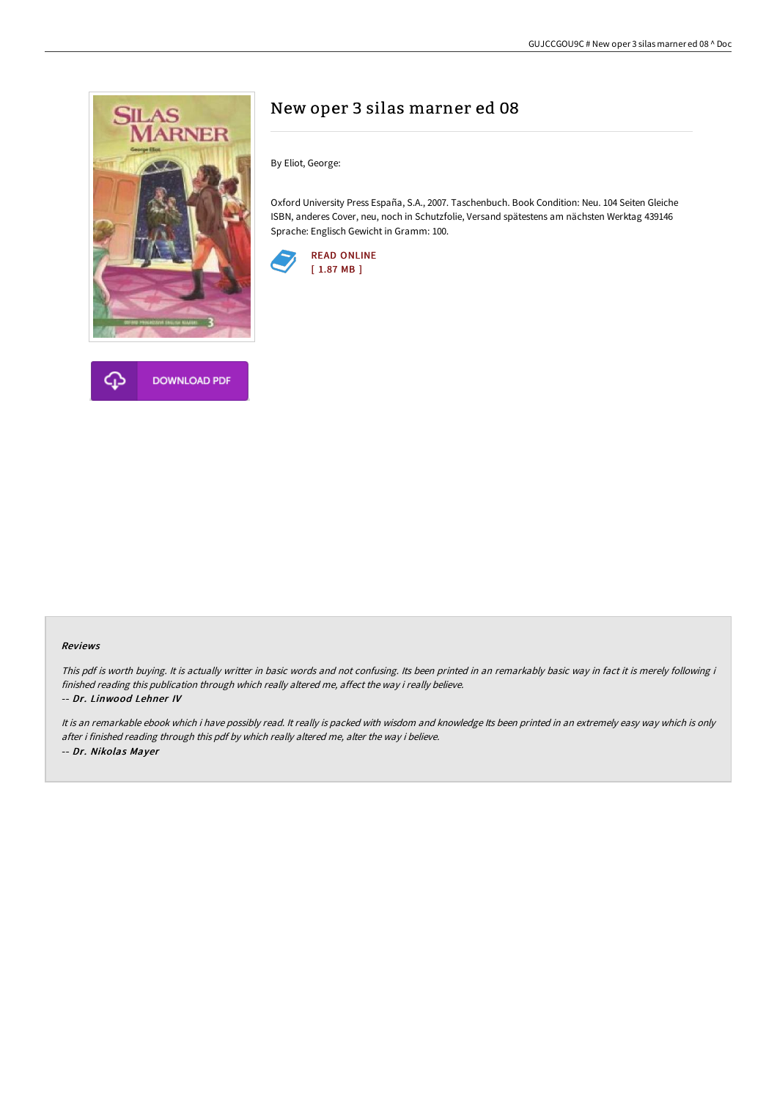



# New oper 3 silas marner ed 08

By Eliot, George:

Oxford University Press España, S.A., 2007. Taschenbuch. Book Condition: Neu. 104 Seiten Gleiche ISBN, anderes Cover, neu, noch in Schutzfolie, Versand spätestens am nächsten Werktag 439146 Sprache: Englisch Gewicht in Gramm: 100.



#### Reviews

This pdf is worth buying. It is actually writter in basic words and not confusing. Its been printed in an remarkably basic way in fact it is merely following i finished reading this publication through which really altered me, affect the way i really believe.

-- Dr. Linwood Lehner IV

It is an remarkable ebook which i have possibly read. It really is packed with wisdom and knowledge Its been printed in an extremely easy way which is only after i finished reading through this pdf by which really altered me, alter the way i believe. -- Dr. Nikolas Mayer